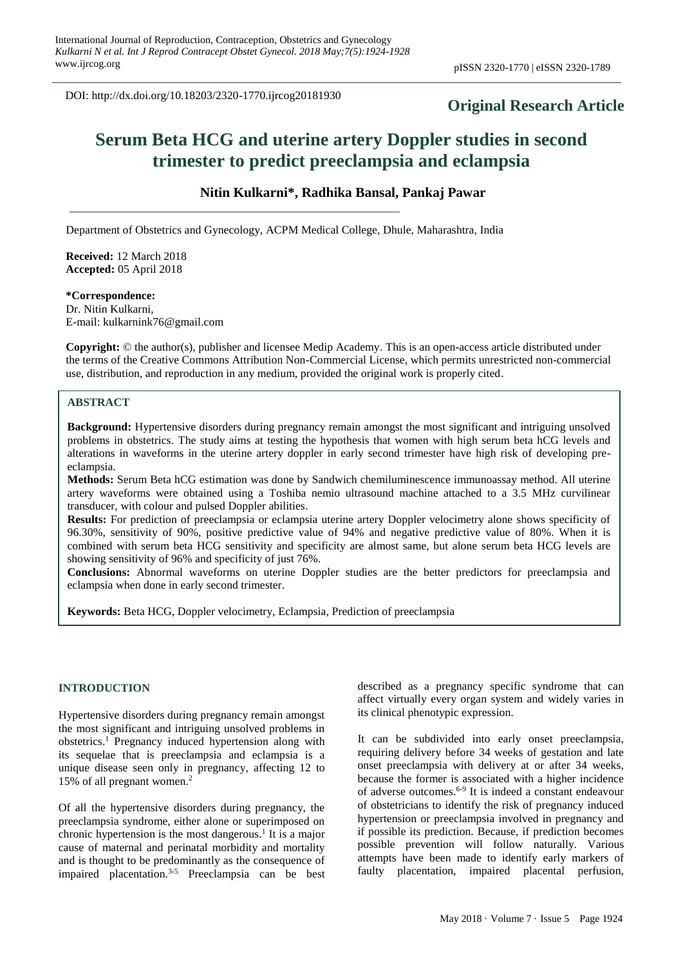DOI: http://dx.doi.org/10.18203/2320-1770.ijrcog20181930

# **Original Research Article**

# **Serum Beta HCG and uterine artery Doppler studies in second trimester to predict preeclampsia and eclampsia**

# **Nitin Kulkarni\*, Radhika Bansal, Pankaj Pawar**

Department of Obstetrics and Gynecology, ACPM Medical College, Dhule, Maharashtra, India

**Received:** 12 March 2018 **Accepted:** 05 April 2018

# **\*Correspondence:**

Dr. Nitin Kulkarni, E-mail: kulkarnink76@gmail.com

**Copyright:** © the author(s), publisher and licensee Medip Academy. This is an open-access article distributed under the terms of the Creative Commons Attribution Non-Commercial License, which permits unrestricted non-commercial use, distribution, and reproduction in any medium, provided the original work is properly cited.

# **ABSTRACT**

**Background:** Hypertensive disorders during pregnancy remain amongst the most significant and intriguing unsolved problems in obstetrics. The study aims at testing the hypothesis that women with high serum beta hCG levels and alterations in waveforms in the uterine artery doppler in early second trimester have high risk of developing preeclampsia.

**Methods:** Serum Beta hCG estimation was done by Sandwich chemiluminescence immunoassay method. All uterine artery waveforms were obtained using a Toshiba nemio ultrasound machine attached to a 3.5 MHz curvilinear transducer, with colour and pulsed Doppler abilities.

**Results:** For prediction of preeclampsia or eclampsia uterine artery Doppler velocimetry alone shows specificity of 96.30%, sensitivity of 90%, positive predictive value of 94% and negative predictive value of 80%. When it is combined with serum beta HCG sensitivity and specificity are almost same, but alone serum beta HCG levels are showing sensitivity of 96% and specificity of just 76%.

**Conclusions:** Abnormal waveforms on uterine Doppler studies are the better predictors for preeclampsia and eclampsia when done in early second trimester.

**Keywords:** Beta HCG, Doppler velocimetry, Eclampsia, Prediction of preeclampsia

#### **INTRODUCTION**

Hypertensive disorders during pregnancy remain amongst the most significant and intriguing unsolved problems in obstetrics.<sup>1</sup> Pregnancy induced hypertension along with its sequelae that is preeclampsia and eclampsia is a unique disease seen only in pregnancy, affecting 12 to 15% of all pregnant women.<sup>2</sup>

Of all the hypertensive disorders during pregnancy, the preeclampsia syndrome, either alone or superimposed on chronic hypertension is the most dangerous.<sup>1</sup> It is a major cause of maternal and perinatal morbidity and mortality and is thought to be predominantly as the consequence of impaired placentation.3-5 Preeclampsia can be best described as a pregnancy specific syndrome that can affect virtually every organ system and widely varies in its clinical phenotypic expression.

It can be subdivided into early onset preeclampsia, requiring delivery before 34 weeks of gestation and late onset preeclampsia with delivery at or after 34 weeks, because the former is associated with a higher incidence of adverse outcomes. 6-9 It is indeed a constant endeavour of obstetricians to identify the risk of pregnancy induced hypertension or preeclampsia involved in pregnancy and if possible its prediction. Because, if prediction becomes possible prevention will follow naturally. Various attempts have been made to identify early markers of faulty placentation, impaired placental perfusion,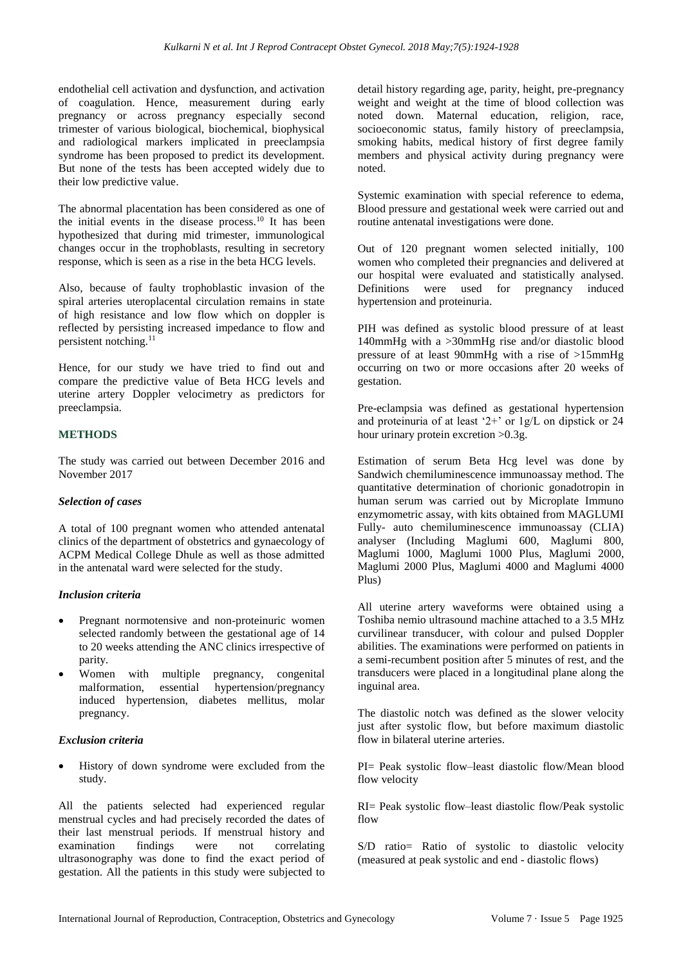endothelial cell activation and dysfunction, and activation of coagulation. Hence, measurement during early pregnancy or across pregnancy especially second trimester of various biological, biochemical, biophysical and radiological markers implicated in preeclampsia syndrome has been proposed to predict its development. But none of the tests has been accepted widely due to their low predictive value.

The abnormal placentation has been considered as one of the initial events in the disease process.<sup>10</sup> It has been hypothesized that during mid trimester, immunological changes occur in the trophoblasts, resulting in secretory response, which is seen as a rise in the beta HCG levels.

Also, because of faulty trophoblastic invasion of the spiral arteries uteroplacental circulation remains in state of high resistance and low flow which on doppler is reflected by persisting increased impedance to flow and persistent notching. $^{11}$ 

Hence, for our study we have tried to find out and compare the predictive value of Beta HCG levels and uterine artery Doppler velocimetry as predictors for preeclampsia.

# **METHODS**

The study was carried out between December 2016 and November 2017

# *Selection of cases*

A total of 100 pregnant women who attended antenatal clinics of the department of obstetrics and gynaecology of ACPM Medical College Dhule as well as those admitted in the antenatal ward were selected for the study.

# *Inclusion criteria*

- Pregnant normotensive and non-proteinuric women selected randomly between the gestational age of 14 to 20 weeks attending the ANC clinics irrespective of parity.
- Women with multiple pregnancy, congenital malformation, essential hypertension/pregnancy induced hypertension, diabetes mellitus, molar pregnancy.

# *Exclusion criteria*

• History of down syndrome were excluded from the study.

All the patients selected had experienced regular menstrual cycles and had precisely recorded the dates of their last menstrual periods. If menstrual history and examination findings were not correlating ultrasonography was done to find the exact period of gestation. All the patients in this study were subjected to detail history regarding age, parity, height, pre-pregnancy weight and weight at the time of blood collection was noted down. Maternal education, religion, race, socioeconomic status, family history of preeclampsia, smoking habits, medical history of first degree family members and physical activity during pregnancy were noted.

Systemic examination with special reference to edema, Blood pressure and gestational week were carried out and routine antenatal investigations were done.

Out of 120 pregnant women selected initially, 100 women who completed their pregnancies and delivered at our hospital were evaluated and statistically analysed. Definitions were used for pregnancy induced hypertension and proteinuria.

PIH was defined as systolic blood pressure of at least 140mmHg with a >30mmHg rise and/or diastolic blood pressure of at least 90mmHg with a rise of >15mmHg occurring on two or more occasions after 20 weeks of gestation.

Pre-eclampsia was defined as gestational hypertension and proteinuria of at least '2+' or 1g/L on dipstick or 24 hour urinary protein excretion > 0.3g.

Estimation of serum Beta Hcg level was done by Sandwich chemiluminescence immunoassay method. The quantitative determination of chorionic gonadotropin in human serum was carried out by Microplate Immuno enzymometric assay, with kits obtained from MAGLUMI Fully- auto chemiluminescence immunoassay (CLIA) analyser (Including Maglumi 600, Maglumi 800, Maglumi 1000, Maglumi 1000 Plus, Maglumi 2000, Maglumi 2000 Plus, Maglumi 4000 and Maglumi 4000 Plus)

All uterine artery waveforms were obtained using a Toshiba nemio ultrasound machine attached to a 3.5 MHz curvilinear transducer, with colour and pulsed Doppler abilities. The examinations were performed on patients in a semi-recumbent position after 5 minutes of rest, and the transducers were placed in a longitudinal plane along the inguinal area.

The diastolic notch was defined as the slower velocity just after systolic flow, but before maximum diastolic flow in bilateral uterine arteries.

PI= Peak systolic flow–least diastolic flow/Mean blood flow velocity

RI= Peak systolic flow–least diastolic flow/Peak systolic flow

S/D ratio= Ratio of systolic to diastolic velocity (measured at peak systolic and end - diastolic flows)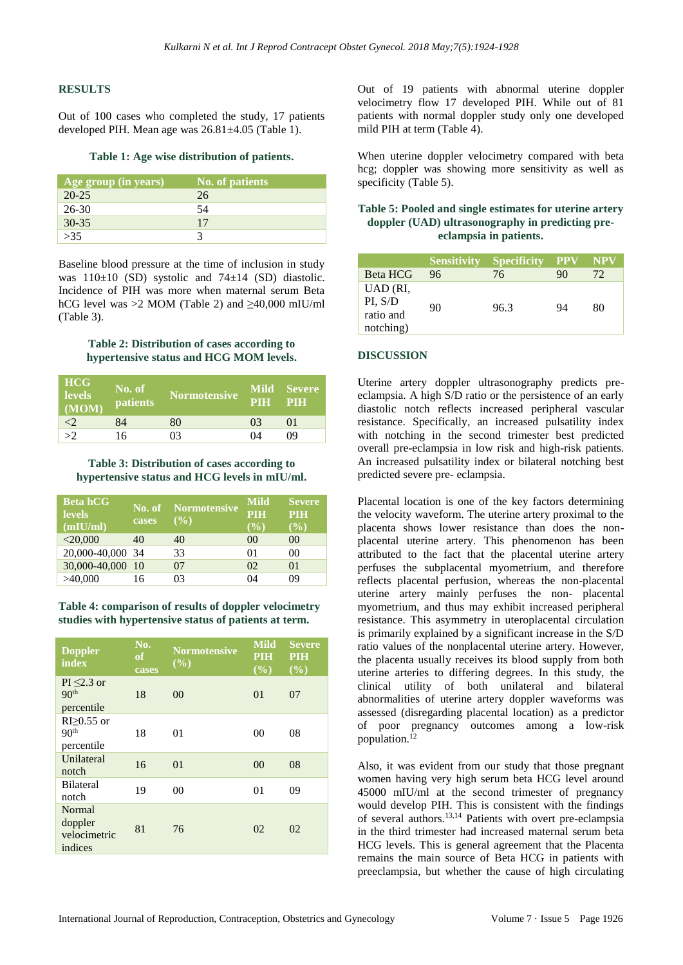#### **RESULTS**

Out of 100 cases who completed the study, 17 patients developed PIH. Mean age was 26.81±4.05 (Table 1).

#### **Table 1: Age wise distribution of patients.**

| Age group (in years) | <b>No. of patients</b> |
|----------------------|------------------------|
| $20 - 25$            | 26                     |
| $26 - 30$            | 54                     |
| $30 - 35$            | 17                     |
| >35                  |                        |

Baseline blood pressure at the time of inclusion in study was  $110\pm10$  (SD) systolic and  $74\pm14$  (SD) diastolic. Incidence of PIH was more when maternal serum Beta hCG level was >2 MOM (Table 2) and  $\geq 40,000$  mIU/ml (Table 3).

#### **Table 2: Distribution of cases according to hypertensive status and HCG MOM levels.**

| <b>HCG</b><br><b>levels</b><br>(MOM) | No. of<br><b>patients</b> | <b>Normotensive</b> | PIH PIH | Mild Severe |
|--------------------------------------|---------------------------|---------------------|---------|-------------|
| <2                                   | 84                        | 80                  | 03      | $\Omega$ 1  |
| >2                                   | 16                        | 03                  | 04      | ΩÓ          |

**Table 3: Distribution of cases according to hypertensive status and HCG levels in mIU/ml.**

| <b>Beta hCG</b><br><b>levels</b><br>(mIU/ml) | cases | <b>No. of</b> Normotensive<br>$($ %) | Mild<br><b>PIH</b><br>(%) | <b>Severe</b><br><b>PIH</b><br>$\left( \frac{0}{0} \right)$ |
|----------------------------------------------|-------|--------------------------------------|---------------------------|-------------------------------------------------------------|
| $<$ 20,000                                   | 40    | 40                                   | 0 <sup>0</sup>            | 0 <sup>0</sup>                                              |
| 20,000-40,000 34                             |       | 33                                   | 01                        | 00                                                          |
| 30,000-40,000 10                             |       | 07                                   | 02                        | 01                                                          |
| >40,000                                      | 16    | በ3                                   | 04                        | 09                                                          |

**Table 4: comparison of results of doppler velocimetry studies with hypertensive status of patients at term.**

| <b>Doppler</b><br>index                            | No.<br>of<br>cases | <b>Normotensive</b><br>$($ %) | <b>Mild</b><br><b>PIH</b><br>(%) | <b>Severe</b><br><b>PIH</b><br>(%) |
|----------------------------------------------------|--------------------|-------------------------------|----------------------------------|------------------------------------|
| $PI \leq 2.3$ or<br>90 <sup>th</sup><br>percentile | 18                 | 0 <sup>0</sup>                | 0 <sub>1</sub>                   | 07                                 |
| $R$ I $>0.55$ or<br>90 <sup>th</sup><br>percentile | 18                 | 01                            | 00                               | 08                                 |
| Unilateral<br>notch                                | 16                 | 01                            | 00                               | 08                                 |
| <b>Bilateral</b><br>notch                          | 19                 | 00                            | 01                               | 09                                 |
| Normal<br>doppler<br>velocimetric<br>indices       | 81                 | 76                            | 02                               | 02                                 |

Out of 19 patients with abnormal uterine doppler velocimetry flow 17 developed PIH. While out of 81 patients with normal doppler study only one developed mild PIH at term (Table 4).

When uterine doppler velocimetry compared with beta hcg; doppler was showing more sensitivity as well as specificity (Table 5).

# **Table 5: Pooled and single estimates for uterine artery doppler (UAD) ultrasonography in predicting preeclampsia in patients.**

|                                               | <b>Sensitivity</b> | <b>Specificity</b> | <b>PPV</b> | <b>NPV</b> |
|-----------------------------------------------|--------------------|--------------------|------------|------------|
| <b>Beta HCG</b>                               | 96                 | 76                 | 90         | 72         |
| UAD (RI,<br>PI, S/D<br>ratio and<br>notching) | 90                 | 96.3               | 94         | 80         |

#### **DISCUSSION**

Uterine artery doppler ultrasonography predicts preeclampsia. A high S/D ratio or the persistence of an early diastolic notch reflects increased peripheral vascular resistance. Specifically, an increased pulsatility index with notching in the second trimester best predicted overall pre-eclampsia in low risk and high-risk patients. An increased pulsatility index or bilateral notching best predicted severe pre- eclampsia.

Placental location is one of the key factors determining the velocity waveform. The uterine artery proximal to the placenta shows lower resistance than does the nonplacental uterine artery. This phenomenon has been attributed to the fact that the placental uterine artery perfuses the subplacental myometrium, and therefore reflects placental perfusion, whereas the non-placental uterine artery mainly perfuses the non- placental myometrium, and thus may exhibit increased peripheral resistance. This asymmetry in uteroplacental circulation is primarily explained by a significant increase in the S/D ratio values of the nonplacental uterine artery. However, the placenta usually receives its blood supply from both uterine arteries to differing degrees. In this study, the clinical utility of both unilateral and bilateral abnormalities of uterine artery doppler waveforms was assessed (disregarding placental location) as a predictor of poor pregnancy outcomes among a low-risk population.<sup>12</sup>

Also, it was evident from our study that those pregnant women having very high serum beta HCG level around 45000 mIU/ml at the second trimester of pregnancy would develop PIH. This is consistent with the findings of several authors.13,14 Patients with overt pre-eclampsia in the third trimester had increased maternal serum beta HCG levels. This is general agreement that the Placenta remains the main source of Beta HCG in patients with preeclampsia, but whether the cause of high circulating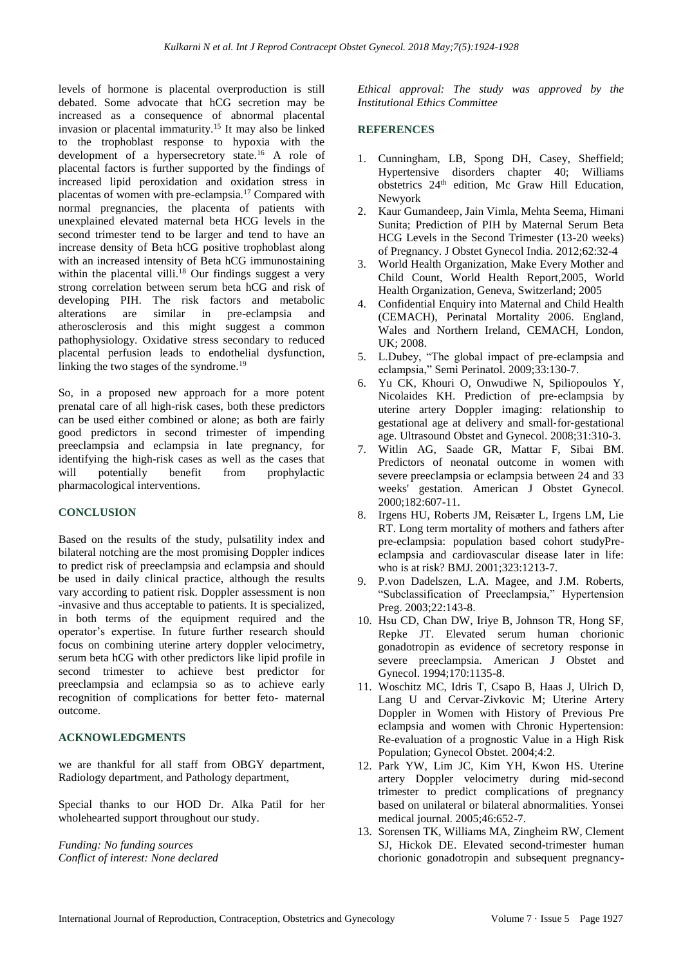levels of hormone is placental overproduction is still debated. Some advocate that hCG secretion may be increased as a consequence of abnormal placental invasion or placental immaturity.<sup>15</sup> It may also be linked to the trophoblast response to hypoxia with the development of a hypersecretory state.<sup>16</sup> A role of placental factors is further supported by the findings of increased lipid peroxidation and oxidation stress in placentas of women with pre-eclampsia.<sup>17</sup> Compared with normal pregnancies, the placenta of patients with unexplained elevated maternal beta HCG levels in the second trimester tend to be larger and tend to have an increase density of Beta hCG positive trophoblast along with an increased intensity of Beta hCG immunostaining within the placental villi.<sup>18</sup> Our findings suggest a very strong correlation between serum beta hCG and risk of developing PIH. The risk factors and metabolic alterations are similar in pre-eclampsia and atherosclerosis and this might suggest a common pathophysiology. Oxidative stress secondary to reduced placental perfusion leads to endothelial dysfunction, linking the two stages of the syndrome.<sup>19</sup>

So, in a proposed new approach for a more potent prenatal care of all high-risk cases, both these predictors can be used either combined or alone; as both are fairly good predictors in second trimester of impending preeclampsia and eclampsia in late pregnancy, for identifying the high-risk cases as well as the cases that will potentially benefit from prophylactic pharmacological interventions.

# **CONCLUSION**

Based on the results of the study, pulsatility index and bilateral notching are the most promising Doppler indices to predict risk of preeclampsia and eclampsia and should be used in daily clinical practice, although the results vary according to patient risk. Doppler assessment is non -invasive and thus acceptable to patients. It is specialized, in both terms of the equipment required and the operator's expertise. In future further research should focus on combining uterine artery doppler velocimetry, serum beta hCG with other predictors like lipid profile in second trimester to achieve best predictor for preeclampsia and eclampsia so as to achieve early recognition of complications for better feto- maternal outcome.

#### **ACKNOWLEDGMENTS**

we are thankful for all staff from OBGY department, Radiology department, and Pathology department,

Special thanks to our HOD Dr. Alka Patil for her wholehearted support throughout our study.

*Funding: No funding sources Conflict of interest: None declared* *Ethical approval: The study was approved by the Institutional Ethics Committee*

#### **REFERENCES**

- 1. Cunningham, LB, Spong DH, Casey, Sheffield; Hypertensive disorders chapter 40; Williams obstetrics 24th edition, Mc Graw Hill Education, Newyork
- 2. Kaur Gumandeep, Jain Vimla, Mehta Seema, Himani Sunita; Prediction of PIH by Maternal Serum Beta HCG Levels in the Second Trimester (13-20 weeks) of Pregnancy. J Obstet Gynecol India. 2012;62:32-4
- 3. World Health Organization, Make Every Mother and Child Count, World Health Report,2005, World Health Organization, Geneva, Switzerland; 2005
- 4. Confidential Enquiry into Maternal and Child Health (CEMACH), Perinatal Mortality 2006. England, Wales and Northern Ireland, CEMACH, London, UK; 2008.
- 5. L.Dubey, "The global impact of pre-eclampsia and eclampsia," Semi Perinatol. 2009;33:130-7.
- 6. Yu CK, Khouri O, Onwudiwe N, Spiliopoulos Y, Nicolaides KH. Prediction of pre‐eclampsia by uterine artery Doppler imaging: relationship to gestational age at delivery and small‐for‐gestational age. Ultrasound Obstet and Gynecol. 2008;31:310-3.
- 7. Witlin AG, Saade GR, Mattar F, Sibai BM. Predictors of neonatal outcome in women with severe preeclampsia or eclampsia between 24 and 33 weeks' gestation. American J Obstet Gynecol. 2000;182:607-11.
- 8. Irgens HU, Roberts JM, Reisæter L, Irgens LM, Lie RT. Long term mortality of mothers and fathers after pre-eclampsia: population based cohort studyPreeclampsia and cardiovascular disease later in life: who is at risk? BMJ. 2001;323:1213-7.
- 9. P.von Dadelszen, L.A. Magee, and J.M. Roberts, "Subclassification of Preeclampsia," Hypertension Preg. 2003;22:143-8.
- 10. Hsu CD, Chan DW, Iriye B, Johnson TR, Hong SF, Repke JT. Elevated serum human chorionic gonadotropin as evidence of secretory response in severe preeclampsia. American J Obstet and Gynecol. 1994;170:1135-8.
- 11. Woschitz MC, Idris T, Csapo B, Haas J, Ulrich D, Lang U and Cervar-Zivkovic M; Uterine Artery Doppler in Women with History of Previous Pre eclampsia and women with Chronic Hypertension: Re-evaluation of a prognostic Value in a High Risk Population; Gynecol Obstet. 2004;4:2.
- 12. Park YW, Lim JC, Kim YH, Kwon HS. Uterine artery Doppler velocimetry during mid-second trimester to predict complications of pregnancy based on unilateral or bilateral abnormalities. Yonsei medical journal. 2005;46:652-7.
- 13. Sorensen TK, Williams MA, Zingheim RW, Clement SJ, Hickok DE. Elevated second-trimester human chorionic gonadotropin and subsequent pregnancy-